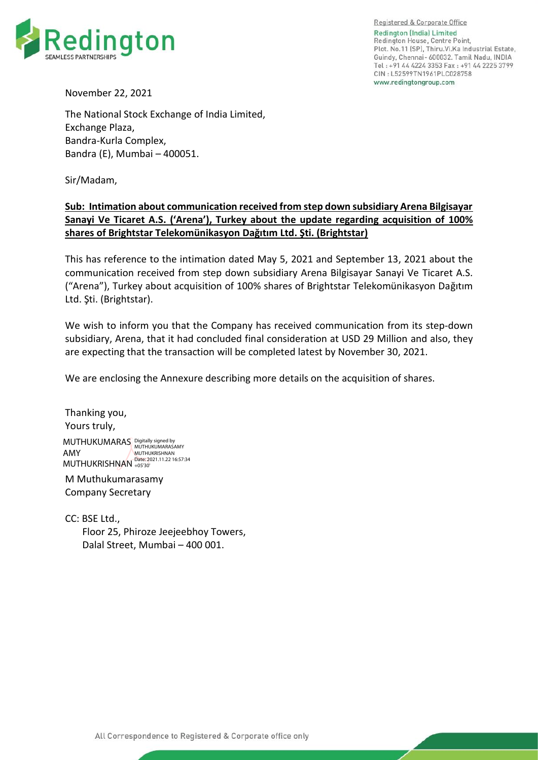

Registered & Corporate Office Redington (India) Limited Redington House, Centre Point, Plot. No.11 (SP), Thiru. Vi. Ka Industrial Estate, Guindy, Chennai- 600032. Tamil Nadu, INDIA Tel: +91 44 4224 3353 Fax: +91 44 2225 3799 CIN: L52599TN1961PLC028758 www.redingtongroup.com

November 22, 2021

The National Stock Exchange of India Limited, Exchange Plaza, Bandra-Kurla Complex, Bandra (E), Mumbai – 400051.

Sir/Madam,

## **Sub: Intimation about communication received from step down subsidiary Arena Bilgisayar Sanayi Ve Ticaret A.S. ('Arena'), Turkey about the update regarding acquisition of 100% shares of Brightstar Telekomünikasyon Dağıtım Ltd. Şti. (Brightstar)**

This has reference to the intimation dated May 5, 2021 and September 13, 2021 about the communication received from step down subsidiary Arena Bilgisayar Sanayi Ve Ticaret A.S. ("Arena"), Turkey about acquisition of 100% shares of Brightstar Telekomünikasyon Dağıtım Ltd. Şti. (Brightstar).

We wish to inform you that the Company has received communication from its step-down subsidiary, Arena, that it had concluded final consideration at USD 29 Million and also, they are expecting that the transaction will be completed latest by November 30, 2021.

We are enclosing the Annexure describing more details on the acquisition of shares.

Thanking you, Yours truly, MUTHUKUMARAS Digitally signed by AMY MUTHUKRISHNAN <sup>Date: 2021.11.22 16:57:34</sup> MUTHUKUMARASAMY **MUTHUKRISHNAN** 

M Muthukumarasamy Company Secretary

CC: BSE Ltd., Floor 25, Phiroze Jeejeebhoy Towers, Dalal Street, Mumbai – 400 001.